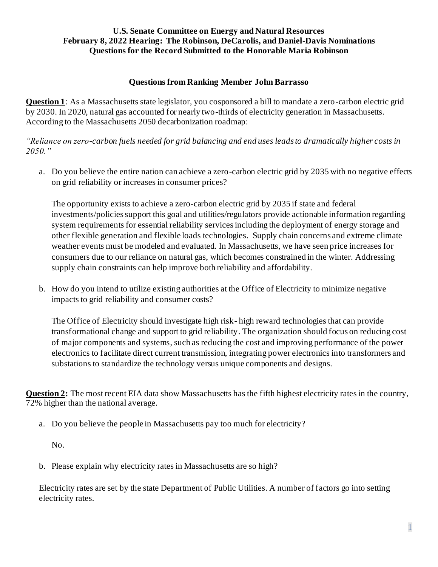## **Questions from Ranking Member John Barrasso**

**Question 1**: As a Massachusetts state legislator, you cosponsored a bill to mandate a zero-carbon electric grid by 2030. In 2020, natural gas accounted for nearly two-thirds of electricity generation in Massachusetts. According to the Massachusetts 2050 decarbonization roadmap:

*"Reliance on zero-carbon fuels needed for grid balancing and end uses leads to dramatically higher costs in 2050."*

a. Do you believe the entire nation can achieve a zero-carbon electric grid by 2035 with no negative effects on grid reliability or increases in consumer prices?

The opportunity exists to achieve a zero-carbon electric grid by 2035 if state and federal investments/policies support this goal and utilities/regulators provide actionable information regarding system requirements for essential reliability services including the deployment of energy storage and other flexible generation and flexible loads technologies. Supply chain concerns and extreme climate weather events must be modeled and evaluated. In Massachusetts, we have seen price increases for consumers due to our reliance on natural gas, which becomes constrained in the winter. Addressing supply chain constraints can help improve both reliability and affordability.

b. How do you intend to utilize existing authorities at the Office of Electricity to minimize negative impacts to grid reliability and consumer costs?

The Office of Electricity should investigate high risk- high reward technologies that can provide transformational change and support to grid reliability. The organization should focus on reducing cost of major components and systems, such as reducing the cost and improving performance of the power electronics to facilitate direct current transmission, integrating power electronics into transformers and substations to standardize the technology versus unique components and designs.

**Question 2:** The most recent EIA data show Massachusetts has the fifth highest electricity rates in the country, 72% higher than the national average.

a. Do you believe the people in Massachusetts pay too much for electricity?

No.

b. Please explain why electricity rates in Massachusetts are so high?

Electricity rates are set by the state Department of Public Utilities. A number of factors go into setting electricity rates.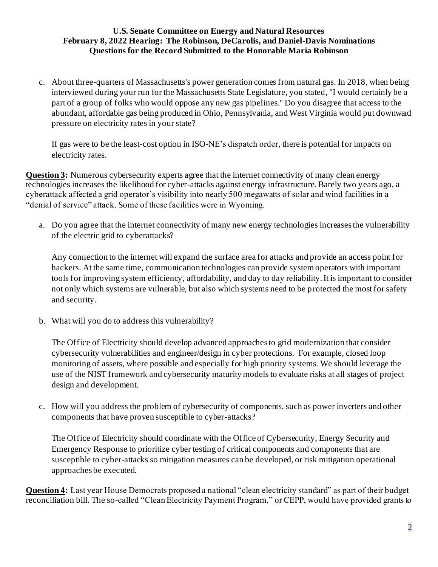c. About three-quarters of Massachusetts's power generation comes from natural gas. In 2018, when being interviewed during your run for the Massachusetts State Legislature, you stated, "I would certainly be a part of a group of folks who would oppose any new gas pipelines." Do you disagree that access to the abundant, affordable gas being produced in Ohio, Pennsylvania, and West Virginia would put downward pressure on electricity rates in your state?

If gas were to be the least-cost option in ISO-NE's dispatch order, there is potential for impacts on electricity rates.

**Question 3:** Numerous cybersecurity experts agree that the internet connectivity of many clean energy technologies increases the likelihood for cyber-attacks against energy infrastructure. Barely two years ago, a cyberattack affected a grid operator's visibility into nearly 500 megawatts of solar and wind facilities in a "denial of service" attack. Some of these facilities were in Wyoming.

a. Do you agree that the internet connectivity of many new energy technologies increases the vulnerability of the electric grid to cyberattacks?

Any connection to the internet will expand the surface area for attacks and provide an access point for hackers. At the same time, communication technologies can provide system operators with important tools for improving system efficiency, affordability, and day to day reliability. It is important to consider not only which systems are vulnerable, but also which systems need to be protected the most for safety and security.

b. What will you do to address this vulnerability?

The Office of Electricity should develop advanced approaches to grid modernization that consider cybersecurity vulnerabilities and engineer/design in cyber protections. For example, closed loop monitoring of assets, where possible and especially for high priority systems. We should leverage the use of the NIST framework and cybersecurity maturity models to evaluate risks at all stages of project design and development.

c. How will you address the problem of cybersecurity of components, such as power inverters and other components that have proven susceptible to cyber-attacks?

The Office of Electricity should coordinate with the Office of Cybersecurity, Energy Security and Emergency Response to prioritize cyber testing of critical components and components that are susceptible to cyber-attacks so mitigation measures can be developed, or risk mitigation operational approaches be executed.

**Question 4:** Last year House Democrats proposed a national "clean electricity standard" as part of their budget reconciliation bill. The so-called "Clean Electricity Payment Program," or CEPP, would have provided grants to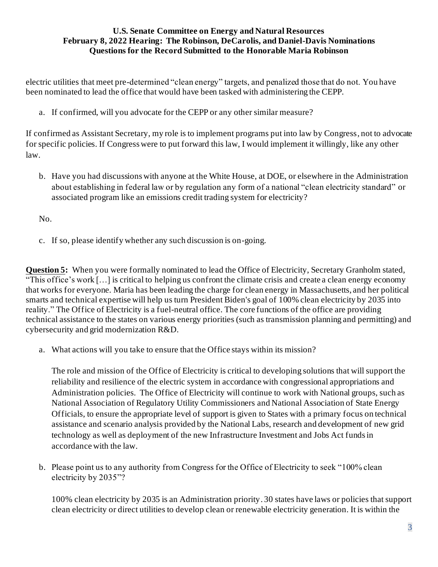electric utilities that meet pre-determined "clean energy" targets, and penalized those that do not. You have been nominated to lead the office that would have been tasked with administering the CEPP.

a. If confirmed, will you advocate for the CEPP or any other similar measure?

If confirmed as Assistant Secretary, my role is to implement programs put into law by Congress, not to advocate for specific policies. If Congress were to put forward this law, I would implement it willingly, like any other law.

b. Have you had discussions with anyone at the White House, at DOE, or elsewhere in the Administration about establishing in federal law or by regulation any form of a national "clean electricity standard" or associated program like an emissions credit trading system for electricity?

No.

c. If so, please identify whether any such discussion is on-going.

**Question 5:** When you were formally nominated to lead the Office of Electricity, Secretary Granholm stated, "This office's work […] is critical to helping us confront the climate crisis and create a clean energy economy that works for everyone. Maria has been leading the charge for clean energy in Massachusetts, and her political smarts and technical expertise will help us turn President Biden's goal of 100% clean electricity by 2035 into reality." The Office of Electricity is a fuel-neutral office. The core functions of the office are providing technical assistance to the states on various energy priorities (such as transmission planning and permitting) and cybersecurity and grid modernization R&D.

a. What actions will you take to ensure that the Office stays within its mission?

The role and mission of the Office of Electricity is critical to developing solutions that will support the reliability and resilience of the electric system in accordance with congressional appropriations and Administration policies. The Office of Electricity will continue to work with National groups, such as National Association of Regulatory Utility Commissioners and National Association of State Energy Officials, to ensure the appropriate level of support is given to States with a primary focus on technical assistance and scenario analysis provided by the National Labs, research and development of new grid technology as well as deployment of the new Infrastructure Investment and Jobs Act fundsin accordance with the law.

b. Please point us to any authority from Congress for the Office of Electricity to seek "100% clean electricity by 2035"?

100% clean electricity by 2035 is an Administration priority. 30 states have laws or policies that support clean electricity or direct utilities to develop clean or renewable electricity generation. It is within the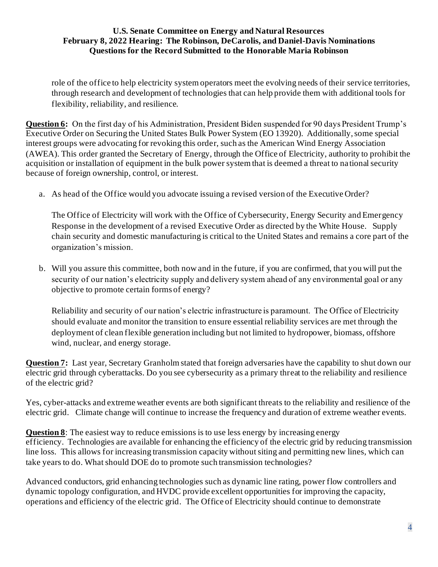role of the office to help electricity system operators meet the evolving needs of their service territories, through research and development of technologies that can help provide them with additional tools for flexibility, reliability, and resilience.

**Question 6:** On the first day of his Administration, President Biden suspended for 90 days President Trump's Executive Order on Securing the United States Bulk Power System (EO 13920). Additionally, some special interest groups were advocating for revoking this order, such as the American Wind Energy Association (AWEA). This order granted the Secretary of Energy, through the Office of Electricity, authority to prohibit the acquisition or installation of equipment in the bulk power system that is deemed a threat to na tional security because of foreign ownership, control, or interest.

a. As head of the Office would you advocate issuing a revised version of the Executive Order?

The Office of Electricity will work with the Office of Cybersecurity, Energy Security and Emergency Response in the development of a revised Executive Order as directed by the White House. Supply chain security and domestic manufacturing is critical to the United States and remains a core part of the organization's mission.

b. Will you assure this committee, both now and in the future, if you are confirmed, that you will put the security of our nation's electricity supply and delivery system ahead of any environmental goal or any objective to promote certain forms of energy?

Reliability and security of our nation's electric infrastructure is paramount. The Office of Electricity should evaluate and monitor the transition to ensure essential reliability services are met through the deployment of clean flexible generation including but not limited to hydropower, biomass, offshore wind, nuclear, and energy storage.

**Question 7:** Last year, Secretary Granholm stated that foreign adversaries have the capability to shut down our electric grid through cyberattacks. Do you see cybersecurity as a primary threat to the reliability and resilience of the electric grid?

Yes, cyber-attacks and extreme weather events are both significant threats to the reliability and resilience of the electric grid. Climate change will continue to increase the frequency and duration of extreme weather events.

**Question 8**: The easiest way to reduce emissions is to use less energy by increasing energy efficiency. Technologies are available for enhancing the efficiency of the electric grid by reducing transmission line loss. This allows for increasing transmission capacity without siting and permitting new lines, which can take years to do. What should DOE do to promote such transmission technologies?

Advanced conductors, grid enhancing technologies such as dynamic line rating, power flow controllers and dynamic topology configuration, and HVDC provide excellent opportunities for improving the capacity, operations and efficiency of the electric grid. The Office of Electricity should continue to demonstrate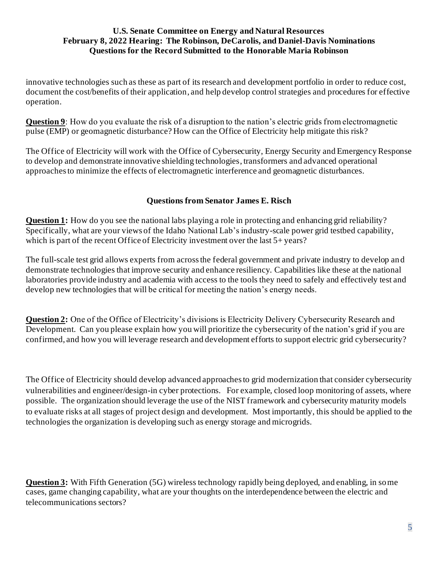innovative technologies such as these as part of its research and development portfolio in order to reduce cost, document the cost/benefits of their application, and help develop control strategies and procedures for effective operation.

**Question 9:** How do you evaluate the risk of a disruption to the nation's electric grids from electromagnetic pulse (EMP) or geomagnetic disturbance? How can the Office of Electricity help mitigate this risk?

The Office of Electricity will work with the Office of Cybersecurity, Energy Security and Emergency Response to develop and demonstrate innovative shielding technologies, transformers and advanced operational approaches to minimize the effects of electromagnetic interference and geomagnetic disturbances.

### **Questions from Senator James E. Risch**

**Question 1:** How do you see the national labs playing a role in protecting and enhancing grid reliability? Specifically, what are your views of the Idaho National Lab's industry-scale power grid testbed capability, which is part of the recent Office of Electricity investment over the last 5+ years?

The full-scale test grid allows experts from across the federal government and private industry to develop an d demonstrate technologies that improve security and enhance resiliency. Capabilities like these at the national laboratories provide industry and academia with access to the tools they need to safely and effectively test and develop new technologies that will be critical for meeting the nation's energy needs.

**Question 2:** One of the Office of Electricity's divisions is Electricity Delivery Cybersecurity Research and Development. Can you please explain how you will prioritize the cybersecurity of the nation's grid if you are confirmed, and how you will leverage research and development efforts to support electric grid cybersecurity?

The Office of Electricity should develop advanced approaches to grid modernization that consider cybersecurity vulnerabilities and engineer/design-in cyber protections. For example, closed loop monitoring of assets, where possible. The organization should leverage the use of the NIST framework and cybersecurity maturity models to evaluate risks at all stages of project design and development. Most importantly, this should be applied to the technologies the organization is developing such as energy storage and microgrids.

**Question 3:** With Fifth Generation (5G) wireless technology rapidly being deployed, and enabling, in some cases, game changing capability, what are your thoughts on the interdependence between the electric and telecommunications sectors?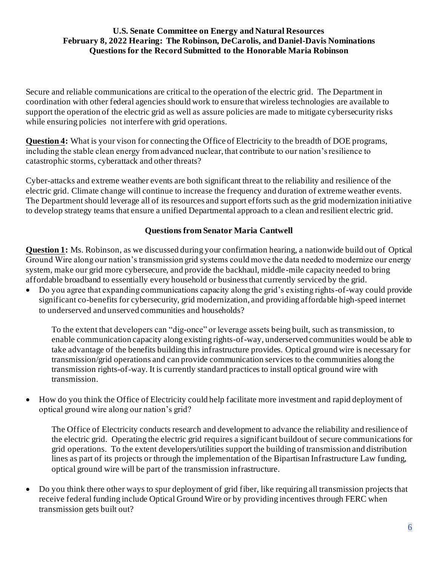Secure and reliable communications are critical to the operation of the electric grid. The Department in coordination with other federal agencies should work to ensure that wireless technologies are available to support the operation of the electric grid as well as assure policies are made to mitigate cybersecurity risks while ensuring policies not interfere with grid operations.

**Question 4:** What is your vison for connecting the Office of Electricity to the breadth of DOE programs, including the stable clean energy from advanced nuclear, that contribute to our nation's resilience to catastrophic storms, cyberattack and other threats?

Cyber-attacks and extreme weather events are both significant threat to the reliability and resilience of the electric grid. Climate change will continue to increase the frequency and duration of extreme weather events. The Department should leverage all of its resources and support efforts such as the grid modernization initiative to develop strategy teams that ensure a unified Departmental approach to a clean and resilient electric grid.

# **Questions from Senator Maria Cantwell**

**Question 1:** Ms. Robinson, as we discussed during your confirmation hearing, a nationwide build out of Optical Ground Wire along our nation's transmission grid systems could move the data needed to modernize our energy system, make our grid more cybersecure, and provide the backhaul, middle-mile capacity needed to bring affordable broadband to essentially every household or business that currently serviced by the grid.

• Do you agree that expanding communications capacity along the grid's existing rights-of-way could provide significant co-benefits for cybersecurity, grid modernization, and providing affordable high-speed internet to underserved and unserved communities and households?

To the extent that developers can "dig-once" or leverage assets being built, such as transmission, to enable communication capacity along existing rights-of-way, underserved communities would be able to take advantage of the benefits building this infrastructure provides. Optical ground wire is necessary for transmission/grid operations and can provide communication services to the communities along the transmission rights-of-way. It is currently standard practices to install optical ground wire with transmission.

• How do you think the Office of Electricity could help facilitate more investment and rapid deployment of optical ground wire along our nation's grid?

The Office of Electricity conducts research and development to advance the reliability and resilience of the electric grid. Operating the electric grid requires a significant buildout of secure communications for grid operations. To the extent developers/utilities support the building of transmission and distribution lines as part of its projects or through the implementation of the Bipartisan Infrastructure Law funding, optical ground wire will be part of the transmission infrastructure.

• Do you think there other ways to spur deployment of grid fiber, like requiring all transmission projects that receive federal funding include Optical Ground Wire or by providing incentives through FERC when transmission gets built out?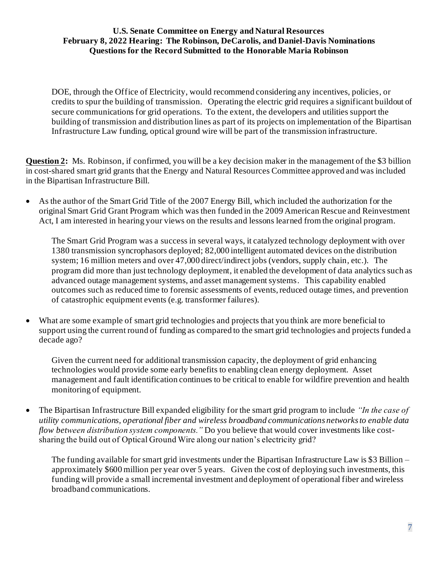DOE, through the Office of Electricity, would recommend considering any incentives, policies, or credits to spur the building of transmission. Operating the electric grid requires a significant buildout of secure communications for grid operations. To the extent, the developers and utilities support the building of transmission and distribution lines as part of its projects on implementation of the Bipartisan Infrastructure Law funding, optical ground wire will be part of the transmission infrastructure.

**Question 2:** Ms. Robinson, if confirmed, you will be a key decision maker in the management of the \$3 billion in cost-shared smart grid grants that the Energy and Natural Resources Committee approved and was included in the Bipartisan Infrastructure Bill.

• As the author of the Smart Grid Title of the 2007 Energy Bill, which included the authorization for the original Smart Grid Grant Program which was then funded in the 2009 American Rescue and Reinvestment Act, I am interested in hearing your views on the results and lessons learned from the original program.

The Smart Grid Program was a success in several ways, it catalyzed technology deployment with over 1380 transmission syncrophasors deployed; 82,000 intelligent automated devices on the distribution system; 16 million meters and over 47,000 direct/indirect jobs (vendors, supply chain, etc.). The program did more than just technology deployment, it enabled the development of data analytics such as advanced outage management systems, and asset management systems. This capability enabled outcomes such as reduced time to forensic assessments of events, reduced outage times, and prevention of catastrophic equipment events (e.g. transformer failures).

• What are some example of smart grid technologies and projects that you think are more beneficial to support using the current round of funding as compared to the smart grid technologies and projects funded a decade ago?

Given the current need for additional transmission capacity, the deployment of grid enhancing technologies would provide some early benefits to enabling clean energy deployment. Asset management and fault identification continues to be critical to enable for wildfire prevention and health monitoring of equipment.

• The Bipartisan Infrastructure Bill expanded eligibility for the smart grid program to include *"In the case of utility communications, operational fiber and wireless broadband communications networks to enable data flow between distribution system components."* Do you believe that would cover investments like costsharing the build out of Optical Ground Wire along our nation's electricity grid?

The funding available for smart grid investments under the Bipartisan Infrastructure Law is \$3 Billion – approximately \$600 million per year over 5 years. Given the cost of deploying such investments, this funding will provide a small incremental investment and deployment of operational fiber and wireless broadband communications.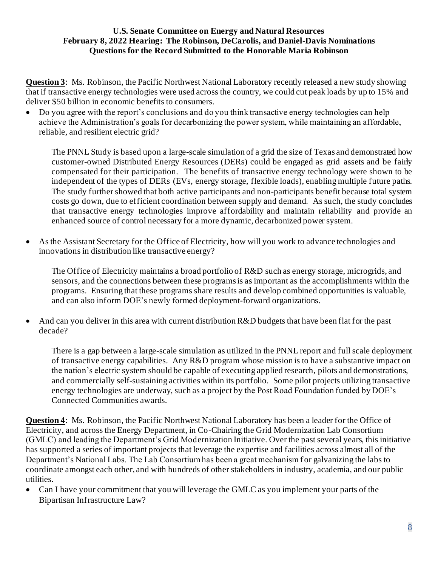**Question 3**: Ms. Robinson, the Pacific Northwest National Laboratory recently released a new study showing that if transactive energy technologies were used across the country, we could cut peak loads by up to 15% and deliver \$50 billion in economic benefits to consumers.

• Do you agree with the report's conclusions and do you think transactive energy technologies can help achieve the Administration's goals for decarbonizing the power system, while maintaining an affordable, reliable, and resilient electric grid?

The PNNL Study is based upon a large-scale simulation of a grid the size of Texas and demonstrated how customer-owned Distributed Energy Resources (DERs) could be engaged as grid assets and be fairly compensated for their participation. The benefits of transactive energy technology were shown to be independent of the types of DERs (EVs, energy storage, flexible loads), enabling multiple future paths. The study further showed that both active participants and non-participants benefit because total system costs go down, due to efficient coordination between supply and demand. As such, the study concludes that transactive energy technologies improve affordability and maintain reliability and provide an enhanced source of control necessary for a more dynamic, decarbonized power system.

• As the Assistant Secretary for the Office of Electricity, how will you work to advance technologies and innovations in distribution like transactive energy?

The Office of Electricity maintains a broad portfolio of R&D such as energy storage, microgrids, and sensors, and the connections between these programs is as important as the accomplishments within the programs. Ensuring that these programs share results and develop combined opportunities is valuable, and can also inform DOE's newly formed deployment-forward organizations.

• And can you deliver in this area with current distribution R&D budgets that have been flat for the past decade?

There is a gap between a large-scale simulation as utilized in the PNNL report and full scale deployment of transactive energy capabilities. Any  $R&D$  program whose mission is to have a substantive impact on the nation's electric system should be capable of executing applied research, pilots and demonstrations, and commercially self-sustaining activities within its portfolio. Some pilot projects utilizing transactive energy technologies are underway, such as a project by the Post Road Foundation funded by DOE's Connected Communities awards.

**Question 4**: Ms. Robinson, the Pacific Northwest National Laboratory has been a leader for the Office of Electricity, and across the Energy Department, in Co-Chairing the Grid Modernization Lab Consortium (GMLC) and leading the Department's Grid Modernization Initiative. Over the past several years, this initiative has supported a series of important projects that leverage the expertise and facilities across almost all of the Department's National Labs. The Lab Consortium has been a great mechanism for galvanizing the labs to coordinate amongst each other, and with hundreds of other stakeholders in industry, academia, and our public utilities.

• Can I have your commitment that you will leverage the GMLC as you implement your parts of the Bipartisan Infrastructure Law?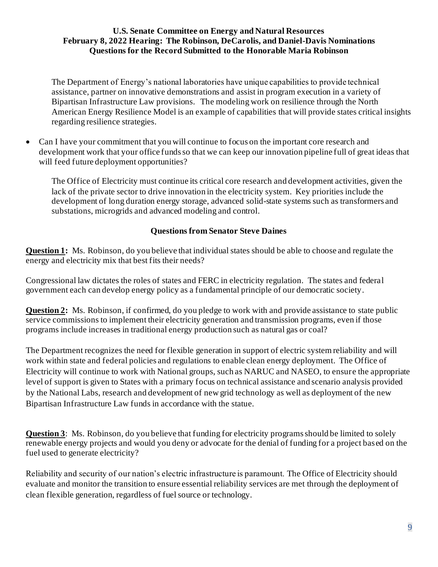The Department of Energy's national laboratories have unique capabilities to provide technical assistance, partner on innovative demonstrations and assist in program execution in a variety of Bipartisan Infrastructure Law provisions. The modeling work on resilience through the North American Energy Resilience Model is an example of capabilities that will provide states critical insights regarding resilience strategies.

• Can I have your commitment that you will continue to focus on the important core research and development work that your office funds so that we can keep our innovation pipeline full of great ideas that will feed future deployment opportunities?

The Office of Electricity must continue its critical core research and development activities, given the lack of the private sector to drive innovation in the electricity system. Key priorities include the development of long duration energy storage, advanced solid-state systems such as transformers and substations, microgrids and advanced modeling and control.

## **Questions from Senator Steve Daines**

**Question 1:** Ms. Robinson, do you believe that individual states should be able to choose and regulate the energy and electricity mix that best fits their needs?

Congressional law dictates the roles of states and FERC in electricity regulation. The states and federal government each can develop energy policy as a fundamental principle of our democratic society.

**Question 2:** Ms. Robinson, if confirmed, do you pledge to work with and provide assistance to state public service commissions to implement their electricity generation and transmission programs, even if those programs include increases in traditional energy production such as natural gas or coal?

The Department recognizes the need for flexible generation in support of electric system reliability and will work within state and federal policies and regulations to enable clean energy deployment. The Office of Electricity will continue to work with National groups, such as NARUC and NASEO, to ensure the appropriate level of support is given to States with a primary focus on technical assistance and scenario analysis provided by the National Labs, research and development of new grid technology as well as deployment of the new Bipartisan Infrastructure Law funds in accordance with the statue.

**Question 3**: Ms. Robinson, do you believe that funding for electricity programs should be limited to solely renewable energy projects and would you deny or advocate for the denial of funding for a project bas ed on the fuel used to generate electricity?

Reliability and security of our nation's electric infrastructure is paramount. The Office of Electricity should evaluate and monitor the transition to ensure essential reliability services are met through the deployment of clean flexible generation, regardless of fuel source or technology.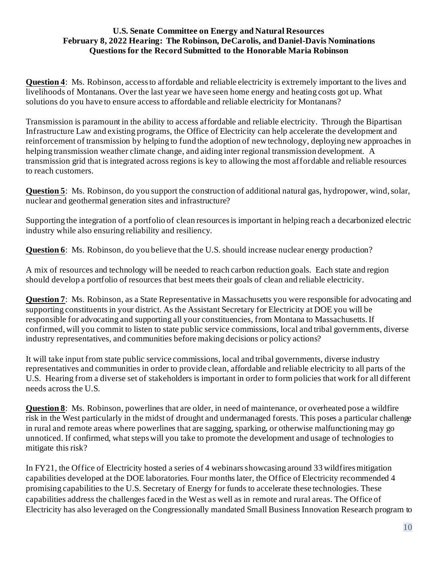**Question 4:** Ms. Robinson, access to affordable and reliable electricity is extremely important to the lives and livelihoods of Montanans. Over the last year we have seen home energy and heating costs got up. What solutions do you have to ensure access to affordable and reliable electricity for Montanans?

Transmission is paramount in the ability to access affordable and reliable electricity. Through the Bipartisan Infrastructure Law and existing programs, the Office of Electricity can help accelerate the development and reinforcement of transmission by helping to fund the adoption of new technology, deploying new approaches in helping transmission weather climate change, and aiding inter regional transmission development. A transmission grid that is integrated across regions is key to allowing the most affordable and reliable resources to reach customers.

**Question 5**: Ms. Robinson, do you support the construction of additional natural gas, hydropower, wind, solar, nuclear and geothermal generation sites and infrastructure?

Supporting the integration of a portfolio of clean resources is important in helping reach a decarbonized electric industry while also ensuring reliability and resiliency.

**Question 6**: Ms. Robinson, do you believe that the U.S. should increase nuclear energy production?

A mix of resources and technology will be needed to reach carbon reduction goals. Each state and region should develop a portfolio of resources that best meets their goals of clean and reliable electricity.

**Question 7**: Ms. Robinson, as a State Representative in Massachusetts you were responsible for advocating and supporting constituents in your district. As the Assistant Secretary for Electricity at DOE you will be responsible for advocating and supporting all your constituencies, from Montana to Massachusetts. If confirmed, will you commit to listen to state public service commissions, local and tribal governments, diverse industry representatives, and communities before making decisions or policy actions?

It will take input from state public service commissions, local and tribal governments, diverse industry representatives and communities in order to provide clean, affordable and reliable electricity to all parts of the U.S. Hearing from a diverse set of stakeholders is important in order to form policies that work for all different needs across the U.S.

**Question 8**: Ms. Robinson, powerlines that are older, in need of maintenance, or overheated pose a wildfire risk in the West particularly in the midst of drought and undermanaged forests. This poses a particular challenge in rural and remote areas where powerlines that are sagging, sparking, or otherwise malfunctioning may go unnoticed. If confirmed, what steps will you take to promote the development and usage of technologies to mitigate this risk?

In FY21, the Office of Electricity hosted a series of 4 webinars showcasing around 33 wildfires mitigation capabilities developed at the DOE laboratories. Four months later, the Office of Electricity recommended 4 promising capabilities to the U.S. Secretary of Energy for funds to accelerate these technologies. These capabilities address the challenges faced in the West as well as in remote and rural areas. The Office of Electricity has also leveraged on the Congressionally mandated Small Business Innovation Research program to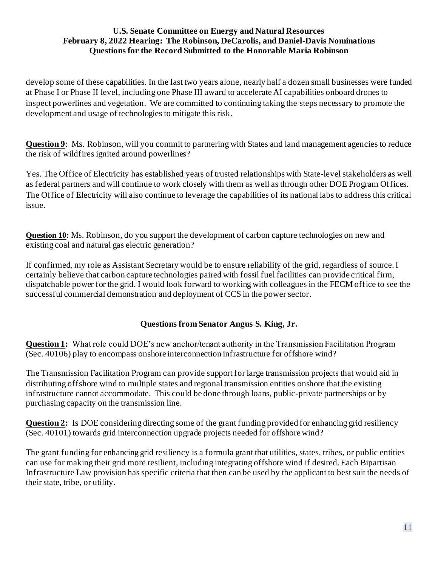develop some of these capabilities. In the last two years alone, nearly half a dozen small businesses were funded at Phase I or Phase II level, including one Phase III award to accelerate AI capabilities onboard drones to inspect powerlines and vegetation. We are committed to continuing taking the steps necessary to promote the development and usage of technologies to mitigate this risk.

**Question 9:** Ms. Robinson, will you commit to partnering with States and land management agencies to reduce the risk of wildfires ignited around powerlines?

Yes. The Office of Electricity has established years of trusted relationships with State-level stakeholders as well as federal partners and will continue to work closely with them as well as through other DOE Program Offices. The Office of Electricity will also continue to leverage the capabilities of its national labs to address this critical issue.

**Question 10:** Ms. Robinson, do you support the development of carbon capture technologies on new and existing coal and natural gas electric generation?

If confirmed, my role as Assistant Secretary would be to ensure reliability of the grid, regardless of source. I certainly believe that carbon capture technologies paired with fossil fuel facilities can provide critical firm, dispatchable power for the grid. I would look forward to working with colleagues in the FECM office to see the successful commercial demonstration and deployment of CCS in the power sector.

# **Questions from Senator Angus S. King, Jr.**

**Question 1:** What role could DOE's new anchor/tenant authority in the Transmission Facilitation Program (Sec. 40106) play to encompass onshore interconnection infrastructure for offshore wind?

The Transmission Facilitation Program can provide support for large transmission projects that would aid in distributing offshore wind to multiple states and regional transmission entities onshore that the existing infrastructure cannot accommodate. This could be done through loans, public-private partnerships or by purchasing capacity on the transmission line.

**Question 2:** Is DOE considering directing some of the grant funding provided for enhancing grid resiliency (Sec. 40101) towards grid interconnection upgrade projects needed for offshore wind?

The grant funding for enhancing grid resiliency is a formula grant that utilities, states, tribes, or public entities can use for making their grid more resilient, including integrating offshore wind if desired.Each Bipartisan Infrastructure Law provision has specific criteria that then can be used by the applicant to best suit the needs of their state, tribe, or utility.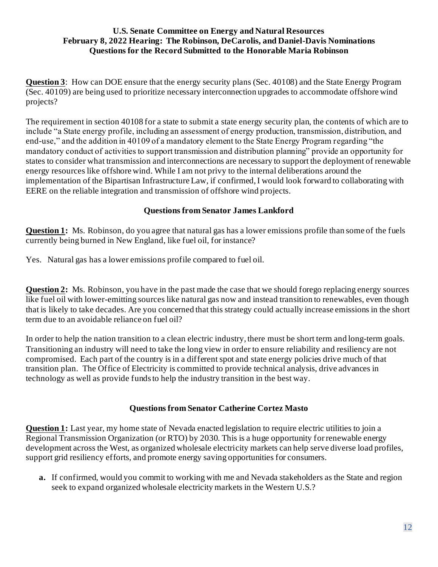**Question 3**: How can DOE ensure that the energy security plans (Sec. 40108) and the State Energy Program (Sec. 40109) are being used to prioritize necessary interconnection upgrades to accommodate offshore wind projects?

The requirement in section 40108 for a state to submit a state energy security plan, the contents of which are to include "a State energy profile, including an assessment of energy production, transmission, distribution, and end-use," and the addition in 40109 of a mandatory element to the State Energy Program regarding "the mandatory conduct of activities to support transmission and distribution planning" provide an opportunity for states to consider what transmission and interconnections are necessary to support the deployment of renewable energy resources like offshore wind. While I am not privy to the internal deliberations around the implementation of the Bipartisan Infrastructure Law, if confirmed, I would look forward to collaborating with EERE on the reliable integration and transmission of offshore wind projects.

## **Questions from Senator James Lankford**

**Question 1:** Ms. Robinson, do you agree that natural gas has a lower emissions profile than some of the fuels currently being burned in New England, like fuel oil, for instance?

Yes. Natural gas has a lower emissions profile compared to fuel oil.

**Question 2:** Ms. Robinson, you have in the past made the case that we should forego replacing energy sources like fuel oil with lower-emitting sources like natural gas now and instead transition to renewables, even though that is likely to take decades. Are you concerned that this strategy could actually increase emissions in the short term due to an avoidable reliance on fuel oil?

In order to help the nation transition to a clean electric industry, there must be short term and long-term goals. Transitioning an industry will need to take the long view in order to ensure reliability and resiliency are not compromised. Each part of the country is in a different spot and state energy policies drive much of that transition plan. The Office of Electricity is committed to provide technical analysis, drive advances in technology as well as provide funds to help the industry transition in the best way.

### **Questions from Senator Catherine Cortez Masto**

**Question 1:** Last year, my home state of Nevada enacted legislation to require electric utilities to join a Regional Transmission Organization (or RTO) by 2030. This is a huge opportunity for renewable energy development across the West, as organized wholesale electricity markets can help serve diverse load profiles, support grid resiliency efforts, and promote energy saving opportunities for consumers.

**a.** If confirmed, would you commit to working with me and Nevada stakeholders as the State and region seek to expand organized wholesale electricity markets in the Western U.S.?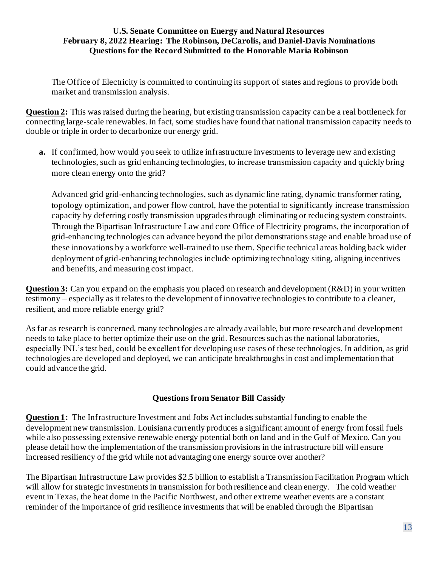The Office of Electricity is committed to continuing its support of states and regions to provide both market and transmission analysis.

**Question 2:** This was raised during the hearing, but existing transmission capacity can be a real bottleneck for connecting large-scale renewables. In fact, some studies have found that national transmission capacity needs to double or triple in order to decarbonize our energy grid.

**a.** If confirmed, how would you seek to utilize infrastructure investments to leverage new and existing technologies, such as grid enhancing technologies, to increase transmission capacity and quickly bring more clean energy onto the grid?

Advanced grid grid-enhancing technologies, such as dynamic line rating, dynamic transformer rating, topology optimization, and power flow control, have the potential to significantly increase transmission capacity by deferring costly transmission upgrades through eliminating or reducing system constraints. Through the Bipartisan Infrastructure Law and core Office of Electricity programs, the incorporation of grid-enhancing technologies can advance beyond the pilot demonstrationsstage and enable broad use of these innovations by a workforce well-trained to use them. Specific technical areas holding back wider deployment of grid-enhancing technologies include optimizing technology siting, aligning incentives and benefits, and measuring cost impact.

**Question 3:** Can you expand on the emphasis you placed on research and development (R&D) in your written testimony – especially as it relates to the development of innovative technologies to contribute to a cleaner, resilient, and more reliable energy grid?

As far as research is concerned, many technologies are already available, but more research and development needs to take place to better optimize their use on the grid. Resources such as the national laboratories, especially INL's test bed, could be excellent for developing use cases of these technologies. In addition, as grid technologies are developed and deployed, we can anticipate breakthroughs in cost and implementation that could advance the grid.

### **Questions from Senator Bill Cassidy**

**Question 1:** The Infrastructure Investment and Jobs Act includes substantial funding to enable the development new transmission. Louisiana currently produces a significant amount of energy from fossil fuels while also possessing extensive renewable energy potential both on land and in the Gulf of Mexico. Can you please detail how the implementation of the transmission provisions in the infrastructure bill will ensure increased resiliency of the grid while not advantaging one energy source over another?

The Bipartisan Infrastructure Law provides \$2.5 billion to establish a Transmission Facilitation Program which will allow for strategic investments in transmission for both resilience and clean energy. The cold weather event in Texas, the heat dome in the Pacific Northwest, and other extreme weather events are a constant reminder of the importance of grid resilience investments that will be enabled through the Bipartisan